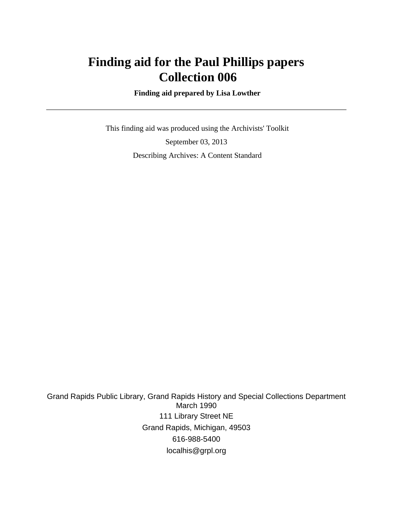# **Finding aid for the Paul Phillips papers Collection 006**

 **Finding aid prepared by Lisa Lowther**

 This finding aid was produced using the Archivists' Toolkit September 03, 2013 Describing Archives: A Content Standard

Grand Rapids Public Library, Grand Rapids History and Special Collections Department March 1990 111 Library Street NE Grand Rapids, Michigan, 49503 616-988-5400 localhis@grpl.org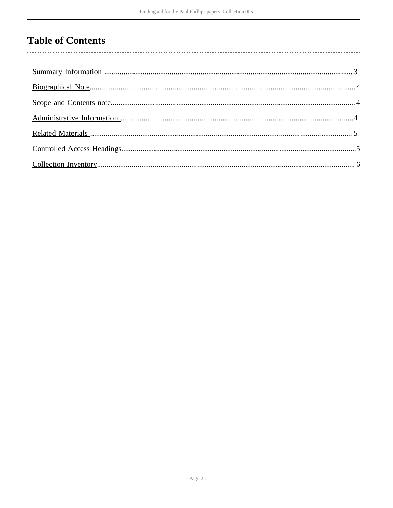# **Table of Contents**

 $\overline{\phantom{a}}$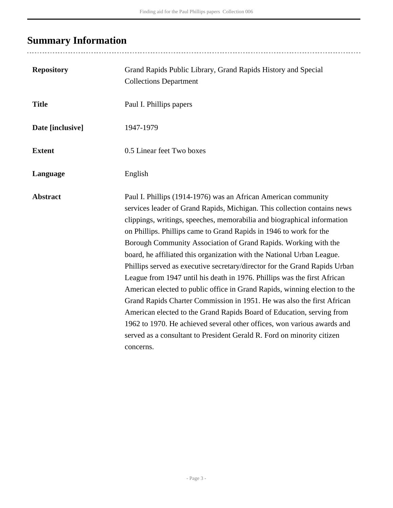# <span id="page-2-0"></span>**Summary Information**

| <b>Repository</b> | Grand Rapids Public Library, Grand Rapids History and Special<br><b>Collections Department</b>                                                                                                                                                                                                                                                                                                                                                                                                                                                                                                                                                                                                                                                                                                                                                                                                                                                                                                        |  |
|-------------------|-------------------------------------------------------------------------------------------------------------------------------------------------------------------------------------------------------------------------------------------------------------------------------------------------------------------------------------------------------------------------------------------------------------------------------------------------------------------------------------------------------------------------------------------------------------------------------------------------------------------------------------------------------------------------------------------------------------------------------------------------------------------------------------------------------------------------------------------------------------------------------------------------------------------------------------------------------------------------------------------------------|--|
| <b>Title</b>      | Paul I. Phillips papers                                                                                                                                                                                                                                                                                                                                                                                                                                                                                                                                                                                                                                                                                                                                                                                                                                                                                                                                                                               |  |
| Date [inclusive]  | 1947-1979                                                                                                                                                                                                                                                                                                                                                                                                                                                                                                                                                                                                                                                                                                                                                                                                                                                                                                                                                                                             |  |
| <b>Extent</b>     | 0.5 Linear feet Two boxes                                                                                                                                                                                                                                                                                                                                                                                                                                                                                                                                                                                                                                                                                                                                                                                                                                                                                                                                                                             |  |
| Language          | English                                                                                                                                                                                                                                                                                                                                                                                                                                                                                                                                                                                                                                                                                                                                                                                                                                                                                                                                                                                               |  |
| <b>Abstract</b>   | Paul I. Phillips (1914-1976) was an African American community<br>services leader of Grand Rapids, Michigan. This collection contains news<br>clippings, writings, speeches, memorabilia and biographical information<br>on Phillips. Phillips came to Grand Rapids in 1946 to work for the<br>Borough Community Association of Grand Rapids. Working with the<br>board, he affiliated this organization with the National Urban League.<br>Phillips served as executive secretary/director for the Grand Rapids Urban<br>League from 1947 until his death in 1976. Phillips was the first African<br>American elected to public office in Grand Rapids, winning election to the<br>Grand Rapids Charter Commission in 1951. He was also the first African<br>American elected to the Grand Rapids Board of Education, serving from<br>1962 to 1970. He achieved several other offices, won various awards and<br>served as a consultant to President Gerald R. Ford on minority citizen<br>concerns. |  |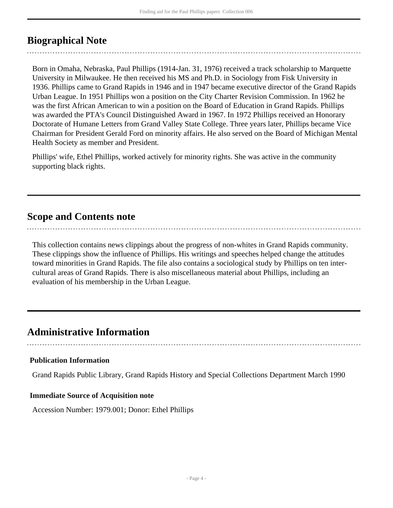### <span id="page-3-0"></span>**Biographical Note**

Born in Omaha, Nebraska, Paul Phillips (1914-Jan. 31, 1976) received a track scholarship to Marquette University in Milwaukee. He then received his MS and Ph.D. in Sociology from Fisk University in 1936. Phillips came to Grand Rapids in 1946 and in 1947 became executive director of the Grand Rapids Urban League. In 1951 Phillips won a position on the City Charter Revision Commission. In 1962 he was the first African American to win a position on the Board of Education in Grand Rapids. Phillips was awarded the PTA's Council Distinguished Award in 1967. In 1972 Phillips received an Honorary Doctorate of Humane Letters from Grand Valley State College. Three years later, Phillips became Vice Chairman for President Gerald Ford on minority affairs. He also served on the Board of Michigan Mental Health Society as member and President.

Phillips' wife, Ethel Phillips, worked actively for minority rights. She was active in the community supporting black rights.

### <span id="page-3-1"></span>**Scope and Contents note**

This collection contains news clippings about the progress of non-whites in Grand Rapids community. These clippings show the influence of Phillips. His writings and speeches helped change the attitudes toward minorities in Grand Rapids. The file also contains a sociological study by Phillips on ten intercultural areas of Grand Rapids. There is also miscellaneous material about Phillips, including an evaluation of his membership in the Urban League.

### <span id="page-3-2"></span>**Administrative Information**

#### **Publication Information**

Grand Rapids Public Library, Grand Rapids History and Special Collections Department March 1990

#### **Immediate Source of Acquisition note**

Accession Number: 1979.001; Donor: Ethel Phillips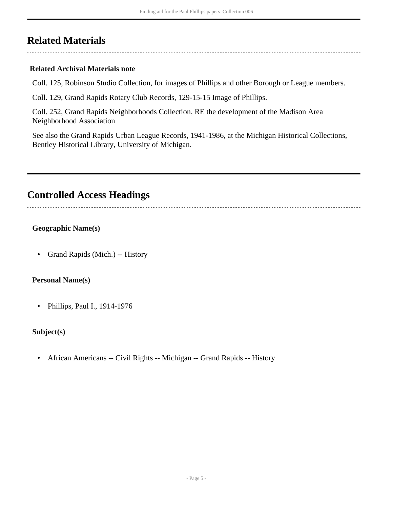### <span id="page-4-0"></span>**Related Materials**

#### **Related Archival Materials note**

Coll. 125, Robinson Studio Collection, for images of Phillips and other Borough or League members.

Coll. 129, Grand Rapids Rotary Club Records, 129-15-15 Image of Phillips.

Coll. 252, Grand Rapids Neighborhoods Collection, RE the development of the Madison Area Neighborhood Association

See also the Grand Rapids Urban League Records, 1941-1986, at the Michigan Historical Collections, Bentley Historical Library, University of Michigan.

### <span id="page-4-1"></span>**Controlled Access Headings**

### **Geographic Name(s)**

• Grand Rapids (Mich.) -- History

#### **Personal Name(s)**

• Phillips, Paul I., 1914-1976

### **Subject(s)**

• African Americans -- Civil Rights -- Michigan -- Grand Rapids -- History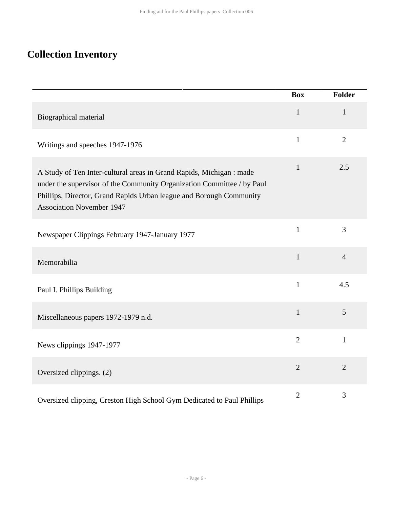# <span id="page-5-0"></span>**Collection Inventory**

|                                                                                                                                                                                                                                                           | <b>Box</b>     | <b>Folder</b>  |
|-----------------------------------------------------------------------------------------------------------------------------------------------------------------------------------------------------------------------------------------------------------|----------------|----------------|
| Biographical material                                                                                                                                                                                                                                     | $\mathbf{1}$   | $\mathbf{1}$   |
| Writings and speeches 1947-1976                                                                                                                                                                                                                           | $\mathbf{1}$   | $\overline{2}$ |
| A Study of Ten Inter-cultural areas in Grand Rapids, Michigan : made<br>under the supervisor of the Community Organization Committee / by Paul<br>Phillips, Director, Grand Rapids Urban league and Borough Community<br><b>Association November 1947</b> | $\mathbf{1}$   | 2.5            |
| Newspaper Clippings February 1947-January 1977                                                                                                                                                                                                            | $\mathbf{1}$   | 3              |
| Memorabilia                                                                                                                                                                                                                                               | $\mathbf{1}$   | $\overline{4}$ |
| Paul I. Phillips Building                                                                                                                                                                                                                                 | $\mathbf{1}$   | 4.5            |
| Miscellaneous papers 1972-1979 n.d.                                                                                                                                                                                                                       | $\mathbf{1}$   | 5              |
| News clippings 1947-1977                                                                                                                                                                                                                                  | $\overline{2}$ | $\mathbf{1}$   |
| Oversized clippings. (2)                                                                                                                                                                                                                                  | $\overline{2}$ | $\overline{2}$ |
| Oversized clipping, Creston High School Gym Dedicated to Paul Phillips                                                                                                                                                                                    | $\overline{2}$ | 3              |